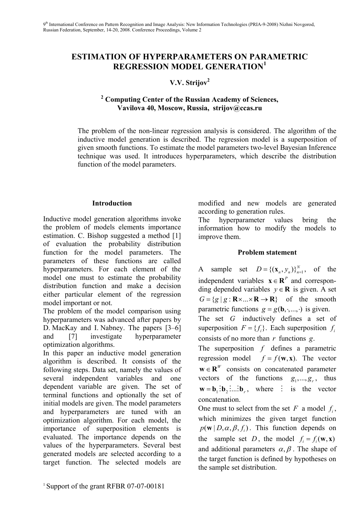## **ESTIMATION OF HYPERPARAMETERS ON PARAMETRIC REGRESSION MODEL GENERATION<sup>1</sup>**

# **V.V. Strijov<sup>2</sup>**

### **2 Computing Center of the Russian Academy of Sciences, Vavilova 40, Moscow, Russia, strijov@ccas.ru**

The problem of the non-linear regression analysis is considered. The algorithm of the inductive model generation is described. The regression model is a superposition of given smooth functions. To estimate the model parameters two-level Bayesian Inference technique was used. It introduces hyperparameters, which describe the distribution function of the model parameters.

### **Introduction**

Inductive model generation algorithms invoke the problem of models elements importance estimation. C. Bishop suggested a method [1] of evaluation the probability distribution function for the model parameters. The parameters of these functions are called hyperparameters. For each element of the model one must to estimate the probability distribution function and make a decision either particular element of the regression model important or not.

The problem of the model comparison using hyperparameters was advanced after papers by D. MacKay and I. Nabney. The papers [3–6] and [7] investigate hyperparameter optimization algorithms.

In this paper an inductive model generation algorithm is described. It consists of the following steps. Data set, namely the values of several independent variables and one dependent variable are given. The set of terminal functions and optionally the set of initial models are given. The model parameters and hyperparameters are tuned with an optimization algorithm. For each model, the importance of superposition elements is evaluated. The importance depends on the values of the hyperparameters. Several best generated models are selected according to a target function. The selected models are modified and new models are generated according to generation rules.

The hyperparameter values bring the information how to modify the models to improve them.

#### **Problem statement**

A sample set  $D = \{(\mathbf{x}_n, y_n)\}_{n=1}^N$ , of the independent variables  $\mathbf{x} \in \mathbb{R}^P$  and corresponding depended variables  $y \in \mathbb{R}$  is given. A set  $G = \{ g | g : \mathbf{R} \times ... \times \mathbf{R} \to \mathbf{R} \}$  of the smooth parametric functions  $g = g(\mathbf{b}, \cdot, \dots, \cdot)$  is given. The set *G* inductively defines a set of superposition  $F = \{f_i\}$ . Each superposition  $f_i$ 

The superposition *f* defines a parametric regression model  $f = f(\mathbf{w}, \mathbf{x})$ . The vector  $\mathbf{w} \in \mathbb{R}^W$  consists on concatenated parameter vectors of the functions  $g_1, \ldots, g_r$ , thus  $\mathbf{w} = \mathbf{b}_1 : \mathbf{b}_2 : ... : \mathbf{b}_r$ , where  $\vdots$  is the vector concatenation.

consists of no more than *r* functions *g*.

One must to select from the set  $F$  a model  $f_i$ , which minimizes the given target function  $p(\mathbf{w} | D, \alpha, \beta, f_i)$ . This function depends on the sample set *D*, the model  $f_i = f_i(\mathbf{w}, \mathbf{x})$ and additional parameters  $\alpha$ ,  $\beta$ . The shape of the target function is defined by hypotheses on the sample set distribution.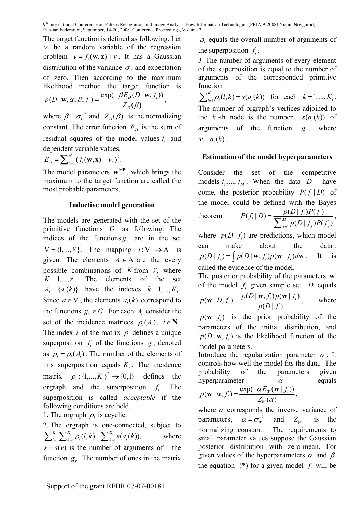The target function is defined as following. Let  $\nu$  be a random variable of the regression problem  $y = f_i(\mathbf{w}, \mathbf{x}) + v$ . It has a Gaussian distribution of the variance  $\sigma_{\nu}$  and expectation of zero. Then according to the maximum likelihood method the target function is

$$
p(D | \mathbf{w}, \alpha, \beta, f_i) = \frac{\exp(-\beta E_D(D | \mathbf{w}, f_i))}{Z_D(\beta)},
$$

where  $\beta = \sigma_{v}^{-2}$  and  $Z_{D}(\beta)$  is the normalizing constant. The error function  $E<sub>D</sub>$  is the sum of residual squares of the model values  $f_i$  and dependent variable values,

$$
E_D = \sum_{n=1}^N (f_i(\mathbf{w}, \mathbf{x}) - y_n)^2.
$$

The model parameters  $\mathbf{w}^{\text{MP}}$ , which brings the maximum to the target function are called the most probable parameters.

### **Inductive model generation**

The models are generated with the set of the primitive functions *G* as following. The indices of the functions  $g<sub>v</sub>$  are in the set  $V = \{1, ..., V\}$ . The mapping  $i: V^r \to A$  is given. The elements  $A_i \in A$  are the every possible combinations of *K* from *V*, where  $K = 1, \ldots, r$ . The elements of the set  $A_i = \{a_i(k)\}\$  have the indexes  $k = 1, ..., K_i$ . Since  $a \in V$ , the elements  $a<sub>i</sub>(k)$  correspond to the functions  $g_y \in G$ . For each *A*<sub>1</sub> consider the set of the incidence matrices  $\rho_i(A_i)$ ,  $i \in \mathbb{N}$ . The index *i* of the matrix  $\rho$  defines a unique superposition  $f_i$  of the functions  $g_i$ ; denoted as  $\rho_i = \rho_i(A_i)$ . The number of the elements of this superposition equals  $K<sub>i</sub>$ . The incidence matrix  $\rho_i : \{1, ..., K_i\}^2 \rightarrow \{0, 1\}$  defines the orgraph and the superposition *f* The superposition is called *acceptable* if the following conditions are held.

1. The orgraph  $\rho_i$  is acyclic.

2. The orgraph is one-connected, subject to  $\sum_{l=1}^{K_i} \sum_{k=1}^{K_i} \rho_i(l,k) = \sum_{k=1}^{K_i} s(a_i(k)),$  where  $s = s(v)$  is the number of arguments of the function  $g_y$ . The number of ones in the matrix

 $\rho_i$  equals the overall number of arguments of the superposition  $f_i$ .

3. The number of arguments of every element of the superposition is equal to the number of arguments of the corresponded primitive function

 $\sum_{l=1}^{K_i} \rho_i(l, k) = s(a_i(k))$  for each  $k = 1, ..., K_i$ . The number of orgraph's vertices adjoined to the  $k$ -th node is the number  $s(a(k))$  of arguments of the function  $g_y$ , where  $v = a(k)$ .

### **Estimation of the model hyperparameters**

Consider the set of the competitive models  $f_1, ..., f_M$ . When the data *D* have come, the posterior probability  $P(f_i | D)$  of the model could be defined with the Bayes theorem  $(f_i | D) = \frac{p(D | f_i)P(f_i)}{\sum M}$  $(D | f_i) P(f_i)$  $f_i(D) = \frac{P(D \mid J_i)P(J_i)}{\sum_{i=1}^{M} P(i)}$  $P(f_i | D) = \frac{p(D | f_i)P(f_i)}{\sum_{i=1}^{M}}$  $\int_{-1}^{1} p(D | f_j) P(f_j)$  $=\frac{P(D|J_i)P(J_i)}{\sum_{j=1}^M p(D|J_j)P(J_j)},$ 

where  $p(D | f_i)$  are predictions, which model can make about the data  $p(D | f_i) = \int p(D | \mathbf{w}, f_i) p(\mathbf{w} | f_i) d\mathbf{w}$ . It is called the evidence of the model.

1

 $j = 1$   $P(D | J_j)$   $J$   $(J_j)$ 

The posterior probability of the parameters **w** of the model  $f_i$  given sample set  $D$  equals  $(\mathbf{w} | D, f_i) = \frac{p(D | \mathbf{w}, f_i) p(\mathbf{w} | f_i)}{p(D | f_i)}$  $p(\mathbf{w} | D, f_i) = \frac{p(D | \mathbf{w}, f_i) p(\mathbf{w} | f_i)}{p(D | f_i)},$  where

 $p(\mathbf{w} | f_i)$  is the prior probability of the parameters of the initial distribution, and  $p(D|\mathbf{w}, f)$  is the likelihood function of the model parameters.

Introduce the regularization parameter  $\alpha$ . It controls how well the model fits the data. The probability of the parameters given hyperparameter  $\alpha$  equals  $(\mathbf{w} | \alpha, f_i) = \frac{\exp(-\alpha E_w(\mathbf{w} | f_i))}{Z_w(\alpha)}$  $p(\mathbf{w} \mid \alpha, f_i) = \frac{\exp(-\alpha E_W(\mathbf{w} \mid f)}{Z_W(\alpha)}$  $\mathbf{w} \mid \alpha, f_i$ ) =  $\frac{\exp(-\alpha E_w(\mathbf{w} \mid f_i))}{Z_w(\alpha)},$ 

where  $\alpha$  corresponds the inverse variance of parameters,  $\alpha = \sigma_w^{-2}$ and  $Z_w$  is the normalizing constant. The requirements to small parameter values suppose the Gaussian posterior distribution with zero-mean. For given values of the hyperparameters  $\alpha$  and  $\beta$ the equation  $(*)$  for a given model  $f_i$  will be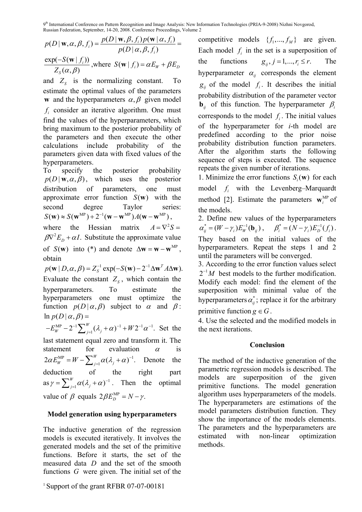9<sup>th</sup> International Conference on Pattern Recognition and Image Analysis: New Information Technologies (PRIA-9-2008) Nizhni Novgorod, Russian Federation, September, 14-20, 2008. Conference Proceedings, Volume 2

$$
p(D | \mathbf{w}, \alpha, \beta, f_i) = \frac{p(D | \mathbf{w}, \beta, f_i) p(\mathbf{w} | \alpha, f_i)}{p(D | \alpha, \beta, f_i)} = \frac{\exp(-S(\mathbf{w} | f_i))}{Z_s(\alpha, \beta)}, \text{where } S(\mathbf{w} | f_i) = \alpha E_W + \beta E_D
$$

and  $Z_s$  is the normalizing constant. To estimate the optimal values of the parameters **w** and the hyperparameters  $\alpha, \beta$  given model  $f_i$  consider an iterative algorithm. One must find the values of the hyperparameters, which bring maximum to the posterior probability of the parameters and then execute the other calculations include probability of the parameters given data with fixed values of the hyperparameters.

To specify the posterior probability  $p(D | w, \alpha, \beta)$ , which uses the posterior distribution of parameters, one must approximate error function  $S(w)$  with the second degree Taylor series:  $S(\mathbf{w}) \approx S(\mathbf{w}^{\text{MP}}) + 2^{-1}(\mathbf{w} - \mathbf{w}^{\text{MP}})A(\mathbf{w} - \mathbf{w}^{\text{MP}}).$ 

where the Hessian matrix  $A = \nabla^2 S =$  $\beta \nabla^2 E_p + \alpha I$ . Substitute the approximate value of  $S(\mathbf{w})$  into (\*) and denote  $\Delta \mathbf{w} = \mathbf{w} - \mathbf{w}^{\text{MP}}$ , obtain

 $p(\mathbf{w} | D, \alpha, \beta) = Z_S^{-1} \exp(-S(\mathbf{w}) - 2^{-1} \Delta \mathbf{w}^T A \Delta \mathbf{w}).$ Evaluate the constant  $Z_s$ , which contain the hyperparameters. To estimate the hyperparameters one must optimize the function  $p(D | \alpha, \beta)$  subject to  $\alpha$  and  $\beta$ :

 $\ln p(D | \alpha, \beta) =$ <br> $F^{\text{MP}}$   $2^{-1} \sum^{W} (3 + \alpha)^{-1} (W^2 - \alpha^{-1})$  $-E_W^{\text{MP}} - 2^{-1} \sum_{j=1}^{W} (\lambda_j + \alpha)^{-1} + W 2^{-1} \alpha^{-1}$ . Set the last statement equal zero and transform it. The statement for evaluation  $\alpha$  is  $2\alpha E_W^{\text{MP}} = W - \sum_{j=1}^W \alpha (\lambda_j + \alpha)^{-1}$ . Denote the deduction of the right part as  $\gamma = \sum_{j=1}^{W} \alpha (\lambda_j + \alpha)^{-1}$ . Then the optimal value of  $\beta$  equals  $2\beta E_D^{MP} = N - \gamma$ .

#### **Model generation using hyperparameters**

The inductive generation of the regression models is executed iteratively. It involves the generated models and the set of the primitive functions. Before it starts, the set of the measured data *D* and the set of the smooth functions *G* were given. The initial set of the

<sup>1</sup> Support of the grant RFBR 07-07-00181

competitive models  $\{f_1, ..., f_M\}$  are given. Each model  $f_i$  in the set is a superposition of the functions  $g_{ij}$ ,  $j = 1,..., r_i \le r$ . The hyperparameter  $\alpha_{ii}$  corresponds the element  $g_{ij}$  of the model  $f_i$ . It describes the initial probability distribution of the parameter vector **<sub>***ii***</sub> of this function. The hyperparameter**  $\beta$ **<sub>***i***</sub>** corresponds to the model  $f_i$ . The initial values of the hyperparameter for *i*-th model are predefined according to the prior noise probability distribution function parameters. After the algorithm starts the following sequence of steps is executed. The sequence repeats the given number of iterations.

1. Minimize the error functions  $S(\mathbf{w})$  for each model  $f_i$  with the Levenberg–Marquardt method [2]. Estimate the parameters  $\mathbf{w}_i^{\text{MP}}$  of the models.

2. Define new values of the hyperparameters  $\alpha_{ij}^* = (W - \gamma_i) E_W^{-1}(\mathbf{b}_{ij}), \quad \beta_i^* = (N - \gamma_i) E_D^{-1}(f_i).$ They based on the initial values of the hyperparameters. Repeat the steps 1 and 2 until the parameters will be converged.

3. According to the error function values select  $2^{-1}M$  best models to the further modification. Modify each model: find the element of the superposition with minimal value of the hyperparameters  $\alpha_{ii}^*$ ; replace it for the arbitrary

primitive function  $g \in G$ .

4. Use the selected and the modified models in the next iterations.

#### **Conclusion**

The method of the inductive generation of the parametric regression models is described. The models are superposition of the given primitive functions. The model generation algorithm uses hyperparameters of the models. The hyperparameters are estimations of the model parameters distribution function. They show the importance of the models elements. The parameters and the hyperparameters are estimated with non-linear optimization methods.